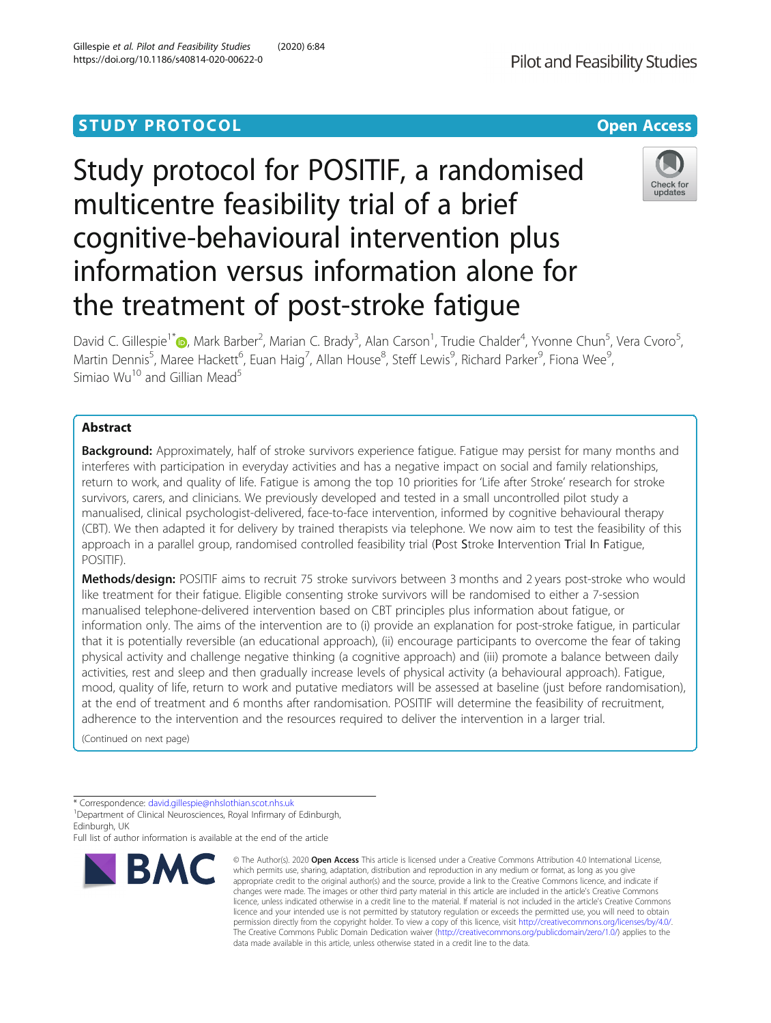## **STUDY PROTOCOL CONSUMING THE RESERVE ACCESS**

# Study protocol for POSITIF, a randomised multicentre feasibility trial of a brief cognitive-behavioural intervention plus information versus information alone for the treatment of post-stroke fatigue

David C. Gillespie<sup>1\*</sup>®[,](http://orcid.org/0000-0003-1325-9727) Mark Barber<sup>2</sup>, Marian C. Brady<sup>3</sup>, Alan Carson<sup>1</sup>, Trudie Chalder<sup>4</sup>, Yvonne Chun<sup>5</sup>, Vera Cvoro<sup>5</sup> , Martin Dennis<sup>5</sup>, Maree Hackett<sup>6</sup>, Euan Haig<sup>7</sup>, Allan House<sup>8</sup>, Steff Lewis<sup>9</sup>, Richard Parker<sup>9</sup>, Fiona Wee<sup>9</sup> , Simiao  $Wu^{10}$  and Gillian Mead<sup>5</sup>

## Abstract

Background: Approximately, half of stroke survivors experience fatigue. Fatigue may persist for many months and interferes with participation in everyday activities and has a negative impact on social and family relationships, return to work, and quality of life. Fatigue is among the top 10 priorities for 'Life after Stroke' research for stroke survivors, carers, and clinicians. We previously developed and tested in a small uncontrolled pilot study a manualised, clinical psychologist-delivered, face-to-face intervention, informed by cognitive behavioural therapy (CBT). We then adapted it for delivery by trained therapists via telephone. We now aim to test the feasibility of this approach in a parallel group, randomised controlled feasibility trial (Post Stroke Intervention Trial In Fatigue, POSITIF).

Methods/design: POSITIF aims to recruit 75 stroke survivors between 3 months and 2 years post-stroke who would like treatment for their fatigue. Eligible consenting stroke survivors will be randomised to either a 7-session manualised telephone-delivered intervention based on CBT principles plus information about fatigue, or information only. The aims of the intervention are to (i) provide an explanation for post-stroke fatigue, in particular that it is potentially reversible (an educational approach), (ii) encourage participants to overcome the fear of taking physical activity and challenge negative thinking (a cognitive approach) and (iii) promote a balance between daily activities, rest and sleep and then gradually increase levels of physical activity (a behavioural approach). Fatigue, mood, quality of life, return to work and putative mediators will be assessed at baseline (just before randomisation), at the end of treatment and 6 months after randomisation. POSITIF will determine the feasibility of recruitment, adherence to the intervention and the resources required to deliver the intervention in a larger trial.

(Continued on next page)

\* Correspondence: [david.gillespie@nhslothian.scot.nhs.uk](mailto:david.gillespie@nhslothian.scot.nhs.uk) <sup>1</sup>

**BMC** 

<sup>1</sup> Department of Clinical Neurosciences, Royal Infirmary of Edinburgh, Edinburgh, UK

Full list of author information is available at the end of the article



© The Author(s), 2020 **Open Access** This article is licensed under a Creative Commons Attribution 4.0 International License, which permits use, sharing, adaptation, distribution and reproduction in any medium or format, as long as you give



Check for undates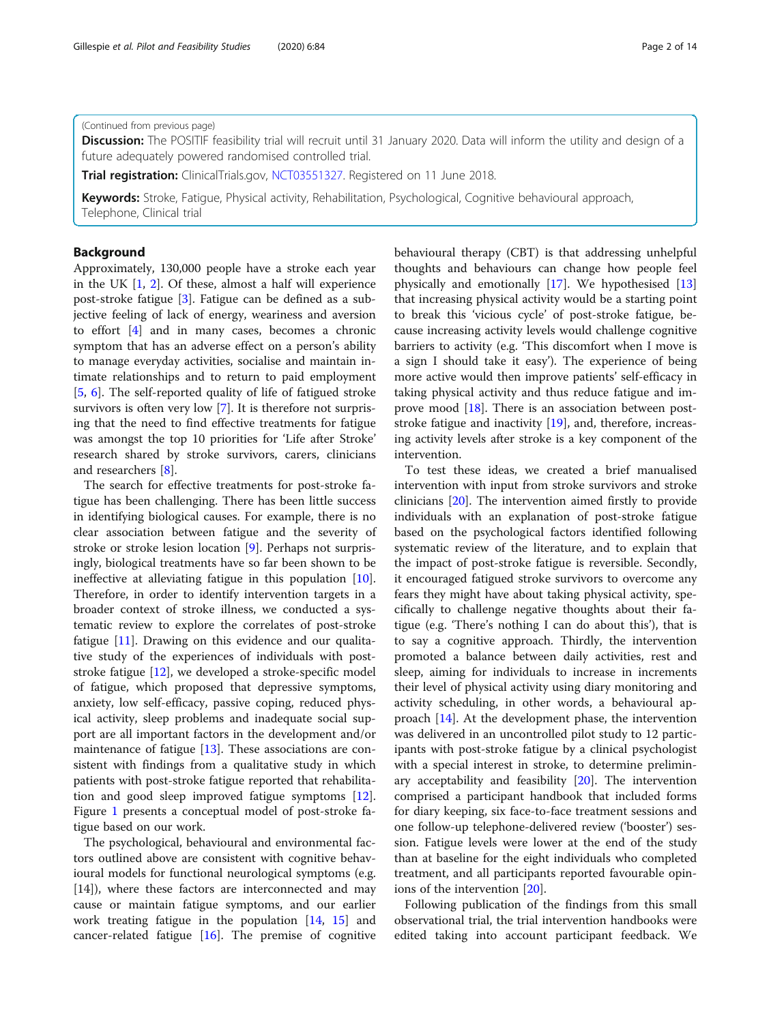#### (Continued from previous page)

Discussion: The POSITIF feasibility trial will recruit until 31 January 2020. Data will inform the utility and design of a future adequately powered randomised controlled trial.

Trial registration: ClinicalTrials.gov, [NCT03551327.](https://clinicaltrials.gov/ct2/show/NCT03551327?term=gillian+mead&draw=2&rank=1) Registered on 11 June 2018.

Keywords: Stroke, Fatigue, Physical activity, Rehabilitation, Psychological, Cognitive behavioural approach, Telephone, Clinical trial

## Background

Approximately, 130,000 people have a stroke each year in the UK [\[1](#page-12-0), [2\]](#page-12-0). Of these, almost a half will experience post-stroke fatigue [[3](#page-12-0)]. Fatigue can be defined as a subjective feeling of lack of energy, weariness and aversion to effort [\[4\]](#page-12-0) and in many cases, becomes a chronic symptom that has an adverse effect on a person's ability to manage everyday activities, socialise and maintain intimate relationships and to return to paid employment [[5,](#page-12-0) [6](#page-12-0)]. The self-reported quality of life of fatigued stroke survivors is often very low [\[7](#page-12-0)]. It is therefore not surprising that the need to find effective treatments for fatigue was amongst the top 10 priorities for 'Life after Stroke' research shared by stroke survivors, carers, clinicians and researchers [[8\]](#page-12-0).

The search for effective treatments for post-stroke fatigue has been challenging. There has been little success in identifying biological causes. For example, there is no clear association between fatigue and the severity of stroke or stroke lesion location [\[9](#page-12-0)]. Perhaps not surprisingly, biological treatments have so far been shown to be ineffective at alleviating fatigue in this population [\[10](#page-12-0)]. Therefore, in order to identify intervention targets in a broader context of stroke illness, we conducted a systematic review to explore the correlates of post-stroke fatigue [\[11](#page-12-0)]. Drawing on this evidence and our qualitative study of the experiences of individuals with poststroke fatigue [[12](#page-12-0)], we developed a stroke-specific model of fatigue, which proposed that depressive symptoms, anxiety, low self-efficacy, passive coping, reduced physical activity, sleep problems and inadequate social support are all important factors in the development and/or maintenance of fatigue [[13\]](#page-12-0). These associations are consistent with findings from a qualitative study in which patients with post-stroke fatigue reported that rehabilitation and good sleep improved fatigue symptoms [\[12](#page-12-0)]. Figure [1](#page-2-0) presents a conceptual model of post-stroke fatigue based on our work.

The psychological, behavioural and environmental factors outlined above are consistent with cognitive behavioural models for functional neurological symptoms (e.g. [14]), where these factors are interconnected and may cause or maintain fatigue symptoms, and our earlier work treating fatigue in the population [[14,](#page-12-0) [15\]](#page-12-0) and cancer-related fatigue [[16](#page-12-0)]. The premise of cognitive behavioural therapy (CBT) is that addressing unhelpful thoughts and behaviours can change how people feel physically and emotionally [\[17](#page-12-0)]. We hypothesised [[13](#page-12-0)] that increasing physical activity would be a starting point to break this 'vicious cycle' of post-stroke fatigue, because increasing activity levels would challenge cognitive barriers to activity (e.g. 'This discomfort when I move is a sign I should take it easy'). The experience of being more active would then improve patients' self-efficacy in taking physical activity and thus reduce fatigue and im-prove mood [[18\]](#page-12-0). There is an association between poststroke fatigue and inactivity [\[19](#page-12-0)], and, therefore, increasing activity levels after stroke is a key component of the intervention.

To test these ideas, we created a brief manualised intervention with input from stroke survivors and stroke clinicians [\[20](#page-12-0)]. The intervention aimed firstly to provide individuals with an explanation of post-stroke fatigue based on the psychological factors identified following systematic review of the literature, and to explain that the impact of post-stroke fatigue is reversible. Secondly, it encouraged fatigued stroke survivors to overcome any fears they might have about taking physical activity, specifically to challenge negative thoughts about their fatigue (e.g. 'There's nothing I can do about this'), that is to say a cognitive approach. Thirdly, the intervention promoted a balance between daily activities, rest and sleep, aiming for individuals to increase in increments their level of physical activity using diary monitoring and activity scheduling, in other words, a behavioural approach [\[14](#page-12-0)]. At the development phase, the intervention was delivered in an uncontrolled pilot study to 12 participants with post-stroke fatigue by a clinical psychologist with a special interest in stroke, to determine preliminary acceptability and feasibility  $[20]$  $[20]$ . The intervention comprised a participant handbook that included forms for diary keeping, six face-to-face treatment sessions and one follow-up telephone-delivered review ('booster') session. Fatigue levels were lower at the end of the study than at baseline for the eight individuals who completed treatment, and all participants reported favourable opinions of the intervention [\[20](#page-12-0)].

Following publication of the findings from this small observational trial, the trial intervention handbooks were edited taking into account participant feedback. We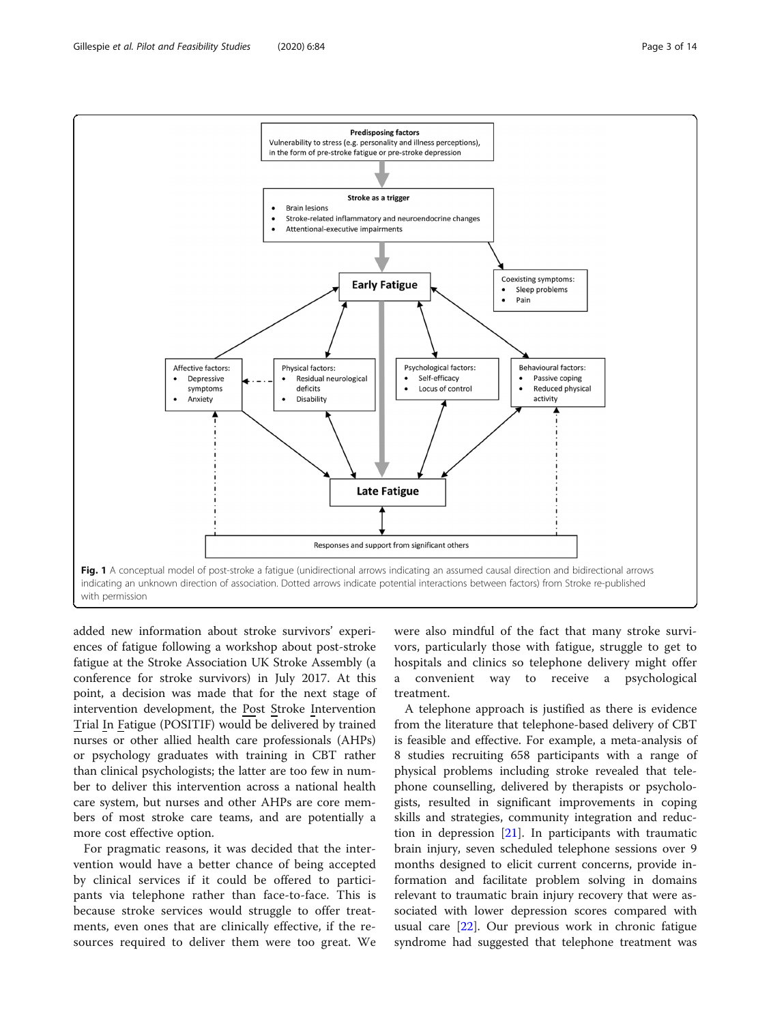<span id="page-2-0"></span>Gillespie et al. Pilot and Feasibility Studies (2020) 6:84 Page 3 of 14



added new information about stroke survivors' experiences of fatigue following a workshop about post-stroke fatigue at the Stroke Association UK Stroke Assembly (a conference for stroke survivors) in July 2017. At this point, a decision was made that for the next stage of intervention development, the Post Stroke Intervention Trial In Fatigue (POSITIF) would be delivered by trained nurses or other allied health care professionals (AHPs) or psychology graduates with training in CBT rather than clinical psychologists; the latter are too few in number to deliver this intervention across a national health care system, but nurses and other AHPs are core members of most stroke care teams, and are potentially a more cost effective option.

For pragmatic reasons, it was decided that the intervention would have a better chance of being accepted by clinical services if it could be offered to participants via telephone rather than face-to-face. This is because stroke services would struggle to offer treatments, even ones that are clinically effective, if the resources required to deliver them were too great. We

were also mindful of the fact that many stroke survivors, particularly those with fatigue, struggle to get to hospitals and clinics so telephone delivery might offer a convenient way to receive a psychological treatment.

A telephone approach is justified as there is evidence from the literature that telephone-based delivery of CBT is feasible and effective. For example, a meta-analysis of 8 studies recruiting 658 participants with a range of physical problems including stroke revealed that telephone counselling, delivered by therapists or psychologists, resulted in significant improvements in coping skills and strategies, community integration and reduction in depression  $[21]$  $[21]$ . In participants with traumatic brain injury, seven scheduled telephone sessions over 9 months designed to elicit current concerns, provide information and facilitate problem solving in domains relevant to traumatic brain injury recovery that were associated with lower depression scores compared with usual care [[22\]](#page-13-0). Our previous work in chronic fatigue syndrome had suggested that telephone treatment was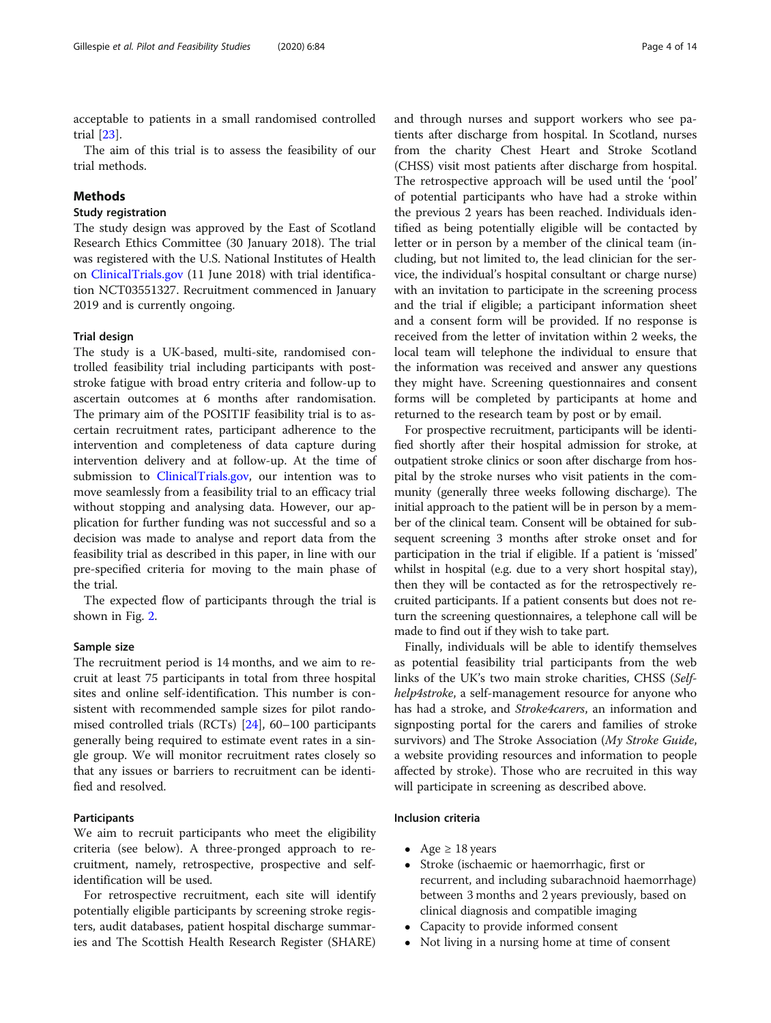acceptable to patients in a small randomised controlled trial [\[23](#page-13-0)].

The aim of this trial is to assess the feasibility of our trial methods.

## Methods

## Study registration

The study design was approved by the East of Scotland Research Ethics Committee (30 January 2018). The trial was registered with the U.S. National Institutes of Health on [ClinicalTrials.gov](http://clinicaltrials.gov) (11 June 2018) with trial identification NCT03551327. Recruitment commenced in January 2019 and is currently ongoing.

#### Trial design

The study is a UK-based, multi-site, randomised controlled feasibility trial including participants with poststroke fatigue with broad entry criteria and follow-up to ascertain outcomes at 6 months after randomisation. The primary aim of the POSITIF feasibility trial is to ascertain recruitment rates, participant adherence to the intervention and completeness of data capture during intervention delivery and at follow-up. At the time of submission to [ClinicalTrials.gov](http://clinicaltrials.gov), our intention was to move seamlessly from a feasibility trial to an efficacy trial without stopping and analysing data. However, our application for further funding was not successful and so a decision was made to analyse and report data from the feasibility trial as described in this paper, in line with our pre-specified criteria for moving to the main phase of the trial.

The expected flow of participants through the trial is shown in Fig. [2](#page-4-0).

#### Sample size

The recruitment period is 14 months, and we aim to recruit at least 75 participants in total from three hospital sites and online self-identification. This number is consistent with recommended sample sizes for pilot randomised controlled trials (RCTs) [[24\]](#page-13-0), 60–100 participants generally being required to estimate event rates in a single group. We will monitor recruitment rates closely so that any issues or barriers to recruitment can be identified and resolved.

## Participants

We aim to recruit participants who meet the eligibility criteria (see below). A three-pronged approach to recruitment, namely, retrospective, prospective and selfidentification will be used.

For retrospective recruitment, each site will identify potentially eligible participants by screening stroke registers, audit databases, patient hospital discharge summaries and The Scottish Health Research Register (SHARE) and through nurses and support workers who see patients after discharge from hospital. In Scotland, nurses from the charity Chest Heart and Stroke Scotland (CHSS) visit most patients after discharge from hospital. The retrospective approach will be used until the 'pool' of potential participants who have had a stroke within the previous 2 years has been reached. Individuals identified as being potentially eligible will be contacted by letter or in person by a member of the clinical team (including, but not limited to, the lead clinician for the service, the individual's hospital consultant or charge nurse) with an invitation to participate in the screening process and the trial if eligible; a participant information sheet and a consent form will be provided. If no response is received from the letter of invitation within 2 weeks, the local team will telephone the individual to ensure that the information was received and answer any questions they might have. Screening questionnaires and consent forms will be completed by participants at home and returned to the research team by post or by email.

For prospective recruitment, participants will be identified shortly after their hospital admission for stroke, at outpatient stroke clinics or soon after discharge from hospital by the stroke nurses who visit patients in the community (generally three weeks following discharge). The initial approach to the patient will be in person by a member of the clinical team. Consent will be obtained for subsequent screening 3 months after stroke onset and for participation in the trial if eligible. If a patient is 'missed' whilst in hospital (e.g. due to a very short hospital stay), then they will be contacted as for the retrospectively recruited participants. If a patient consents but does not return the screening questionnaires, a telephone call will be made to find out if they wish to take part.

Finally, individuals will be able to identify themselves as potential feasibility trial participants from the web links of the UK's two main stroke charities, CHSS (Selfhelp4stroke, a self-management resource for anyone who has had a stroke, and *Stroke4carers*, an information and signposting portal for the carers and families of stroke survivors) and The Stroke Association (My Stroke Guide, a website providing resources and information to people affected by stroke). Those who are recruited in this way will participate in screening as described above.

#### Inclusion criteria

- Age  $\geq 18$  years
- Stroke (ischaemic or haemorrhagic, first or recurrent, and including subarachnoid haemorrhage) between 3 months and 2 years previously, based on clinical diagnosis and compatible imaging
- Capacity to provide informed consent
- Not living in a nursing home at time of consent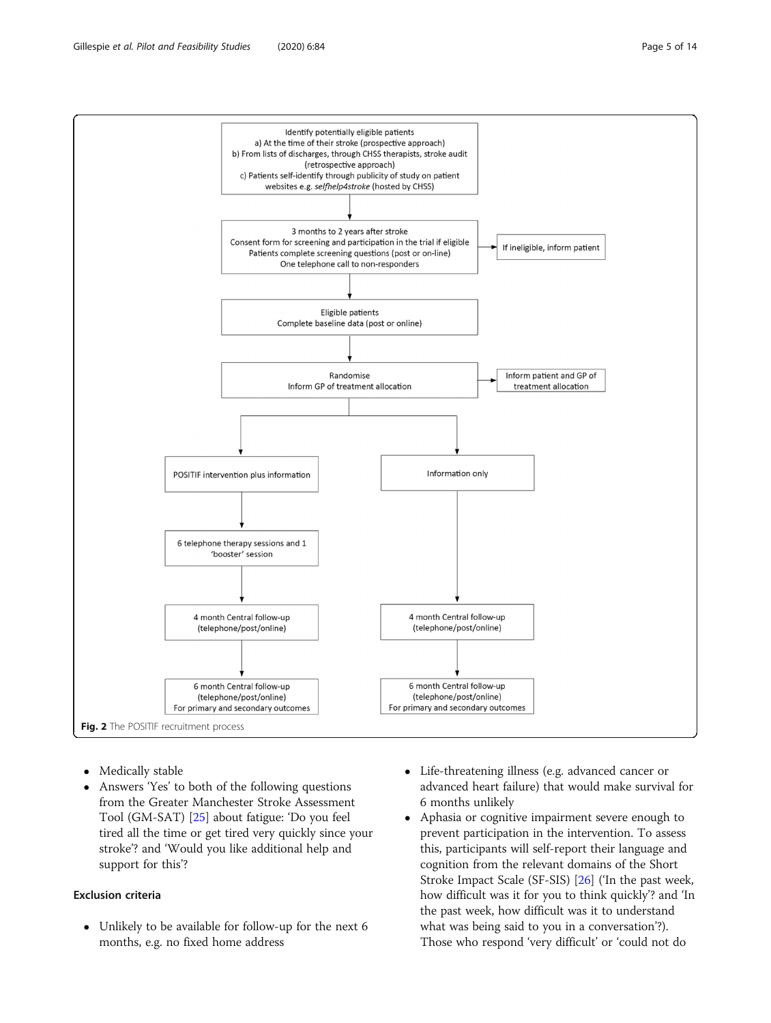<span id="page-4-0"></span>

- Medically stable
- Answers 'Yes' to both of the following questions from the Greater Manchester Stroke Assessment Tool (GM-SAT) [\[25\]](#page-13-0) about fatigue: 'Do you feel tired all the time or get tired very quickly since your stroke'? and 'Would you like additional help and support for this'?

## Exclusion criteria

 Unlikely to be available for follow-up for the next 6 months, e.g. no fixed home address

- Life-threatening illness (e.g. advanced cancer or advanced heart failure) that would make survival for 6 months unlikely
- Aphasia or cognitive impairment severe enough to prevent participation in the intervention. To assess this, participants will self-report their language and cognition from the relevant domains of the Short Stroke Impact Scale (SF-SIS) [[26](#page-13-0)] ('In the past week, how difficult was it for you to think quickly'? and 'In the past week, how difficult was it to understand what was being said to you in a conversation'?). Those who respond 'very difficult' or 'could not do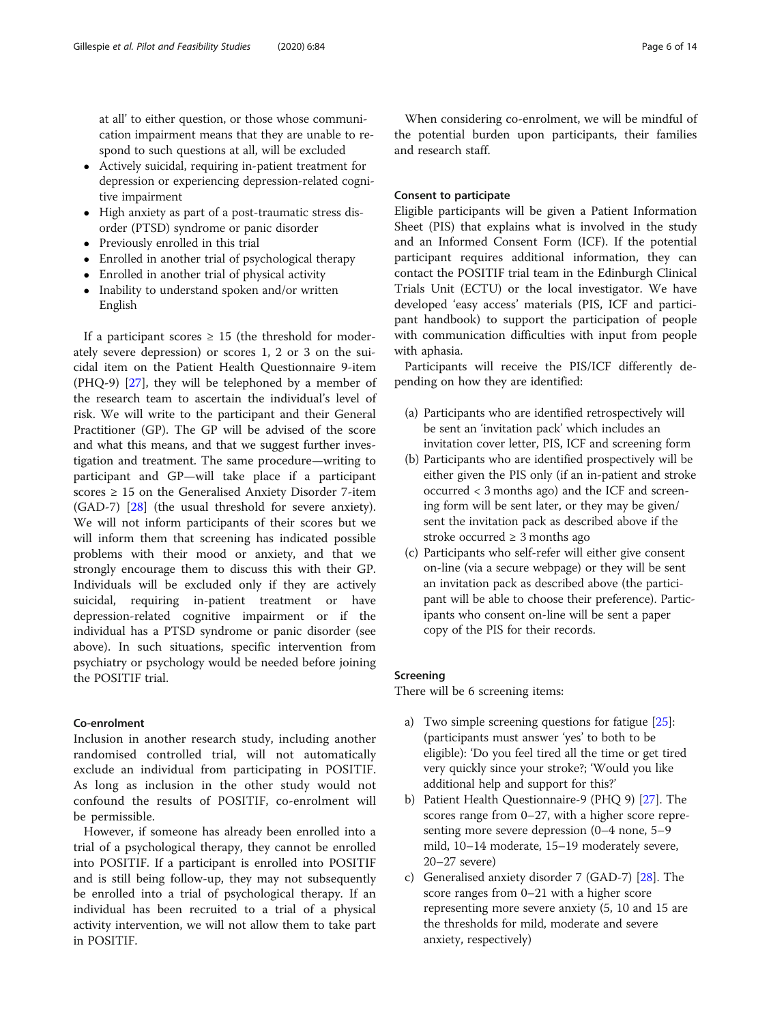at all' to either question, or those whose communication impairment means that they are unable to respond to such questions at all, will be excluded

- Actively suicidal, requiring in-patient treatment for depression or experiencing depression-related cognitive impairment
- High anxiety as part of a post-traumatic stress disorder (PTSD) syndrome or panic disorder
- Previously enrolled in this trial
- Enrolled in another trial of psychological therapy
- Enrolled in another trial of physical activity
- Inability to understand spoken and/or written English

If a participant scores  $\geq$  15 (the threshold for moderately severe depression) or scores 1, 2 or 3 on the suicidal item on the Patient Health Questionnaire 9-item (PHQ-9) [[27](#page-13-0)], they will be telephoned by a member of the research team to ascertain the individual's level of risk. We will write to the participant and their General Practitioner (GP). The GP will be advised of the score and what this means, and that we suggest further investigation and treatment. The same procedure—writing to participant and GP—will take place if a participant scores  $\geq$  15 on the Generalised Anxiety Disorder 7-item (GAD-7) [[28\]](#page-13-0) (the usual threshold for severe anxiety). We will not inform participants of their scores but we will inform them that screening has indicated possible problems with their mood or anxiety, and that we strongly encourage them to discuss this with their GP. Individuals will be excluded only if they are actively suicidal, requiring in-patient treatment or have depression-related cognitive impairment or if the individual has a PTSD syndrome or panic disorder (see above). In such situations, specific intervention from psychiatry or psychology would be needed before joining the POSITIF trial.

## Co-enrolment

Inclusion in another research study, including another randomised controlled trial, will not automatically exclude an individual from participating in POSITIF. As long as inclusion in the other study would not confound the results of POSITIF, co-enrolment will be permissible.

However, if someone has already been enrolled into a trial of a psychological therapy, they cannot be enrolled into POSITIF. If a participant is enrolled into POSITIF and is still being follow-up, they may not subsequently be enrolled into a trial of psychological therapy. If an individual has been recruited to a trial of a physical activity intervention, we will not allow them to take part in POSITIF.

When considering co-enrolment, we will be mindful of the potential burden upon participants, their families and research staff.

## Consent to participate

Eligible participants will be given a Patient Information Sheet (PIS) that explains what is involved in the study and an Informed Consent Form (ICF). If the potential participant requires additional information, they can contact the POSITIF trial team in the Edinburgh Clinical Trials Unit (ECTU) or the local investigator. We have developed 'easy access' materials (PIS, ICF and participant handbook) to support the participation of people with communication difficulties with input from people with aphasia.

Participants will receive the PIS/ICF differently depending on how they are identified:

- (a) Participants who are identified retrospectively will be sent an 'invitation pack' which includes an invitation cover letter, PIS, ICF and screening form
- (b) Participants who are identified prospectively will be either given the PIS only (if an in-patient and stroke occurred < 3 months ago) and the ICF and screening form will be sent later, or they may be given/ sent the invitation pack as described above if the stroke occurred  $\geq 3$  months ago
- (c) Participants who self-refer will either give consent on-line (via a secure webpage) or they will be sent an invitation pack as described above (the participant will be able to choose their preference). Participants who consent on-line will be sent a paper copy of the PIS for their records.

## Screening

There will be 6 screening items:

- a) Two simple screening questions for fatigue [[25](#page-13-0)]: (participants must answer 'yes' to both to be eligible): 'Do you feel tired all the time or get tired very quickly since your stroke?; 'Would you like additional help and support for this?'
- b) Patient Health Questionnaire-9 (PHQ 9) [[27](#page-13-0)]. The scores range from 0–27, with a higher score representing more severe depression (0–4 none, 5–9 mild, 10–14 moderate, 15–19 moderately severe, 20–27 severe)
- c) Generalised anxiety disorder 7 (GAD-7) [[28](#page-13-0)]. The score ranges from 0–21 with a higher score representing more severe anxiety (5, 10 and 15 are the thresholds for mild, moderate and severe anxiety, respectively)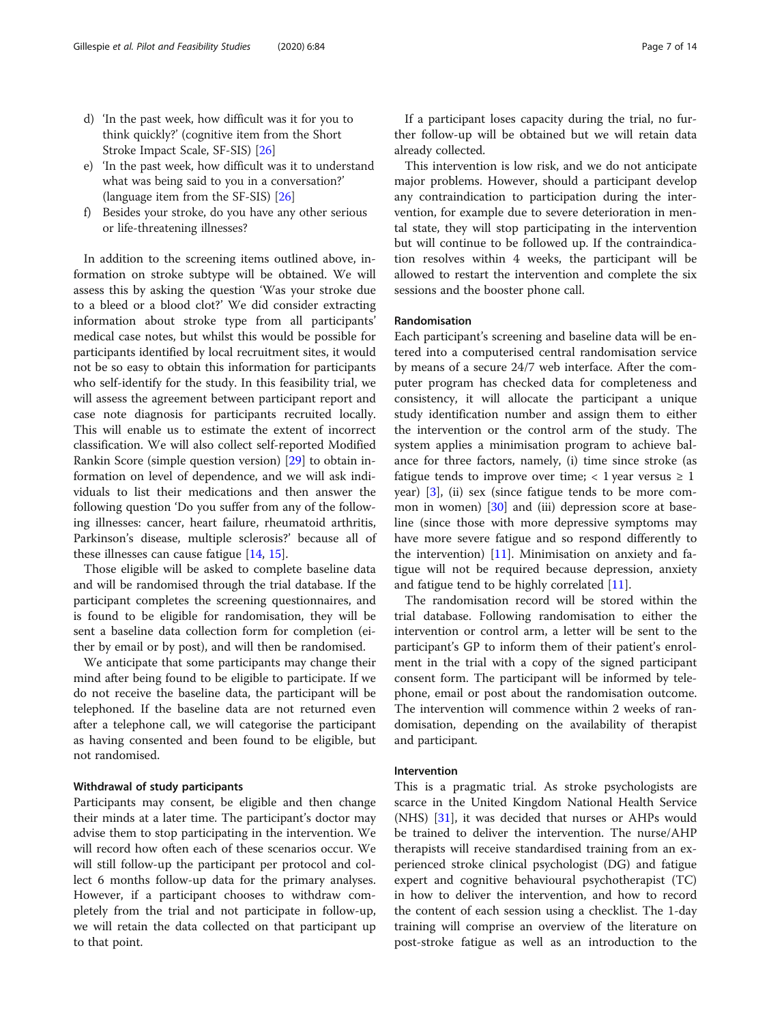- d) 'In the past week, how difficult was it for you to think quickly?' (cognitive item from the Short Stroke Impact Scale, SF-SIS) [\[26\]](#page-13-0)
- e) 'In the past week, how difficult was it to understand what was being said to you in a conversation?' (language item from the SF-SIS) [\[26](#page-13-0)]
- f) Besides your stroke, do you have any other serious or life-threatening illnesses?

In addition to the screening items outlined above, information on stroke subtype will be obtained. We will assess this by asking the question 'Was your stroke due to a bleed or a blood clot?' We did consider extracting information about stroke type from all participants' medical case notes, but whilst this would be possible for participants identified by local recruitment sites, it would not be so easy to obtain this information for participants who self-identify for the study. In this feasibility trial, we will assess the agreement between participant report and case note diagnosis for participants recruited locally. This will enable us to estimate the extent of incorrect classification. We will also collect self-reported Modified Rankin Score (simple question version) [\[29](#page-13-0)] to obtain information on level of dependence, and we will ask individuals to list their medications and then answer the following question 'Do you suffer from any of the following illnesses: cancer, heart failure, rheumatoid arthritis, Parkinson's disease, multiple sclerosis?' because all of these illnesses can cause fatigue [[14,](#page-12-0) [15](#page-12-0)].

Those eligible will be asked to complete baseline data and will be randomised through the trial database. If the participant completes the screening questionnaires, and is found to be eligible for randomisation, they will be sent a baseline data collection form for completion (either by email or by post), and will then be randomised.

We anticipate that some participants may change their mind after being found to be eligible to participate. If we do not receive the baseline data, the participant will be telephoned. If the baseline data are not returned even after a telephone call, we will categorise the participant as having consented and been found to be eligible, but not randomised.

## Withdrawal of study participants

Participants may consent, be eligible and then change their minds at a later time. The participant's doctor may advise them to stop participating in the intervention. We will record how often each of these scenarios occur. We will still follow-up the participant per protocol and collect 6 months follow-up data for the primary analyses. However, if a participant chooses to withdraw completely from the trial and not participate in follow-up, we will retain the data collected on that participant up to that point.

If a participant loses capacity during the trial, no further follow-up will be obtained but we will retain data already collected.

This intervention is low risk, and we do not anticipate major problems. However, should a participant develop any contraindication to participation during the intervention, for example due to severe deterioration in mental state, they will stop participating in the intervention but will continue to be followed up. If the contraindication resolves within 4 weeks, the participant will be allowed to restart the intervention and complete the six sessions and the booster phone call.

#### Randomisation

Each participant's screening and baseline data will be entered into a computerised central randomisation service by means of a secure 24/7 web interface. After the computer program has checked data for completeness and consistency, it will allocate the participant a unique study identification number and assign them to either the intervention or the control arm of the study. The system applies a minimisation program to achieve balance for three factors, namely, (i) time since stroke (as fatigue tends to improve over time;  $\langle 1 \rangle$  year versus  $\geq 1$ year) [\[3](#page-12-0)], (ii) sex (since fatigue tends to be more common in women) [\[30](#page-13-0)] and (iii) depression score at baseline (since those with more depressive symptoms may have more severe fatigue and so respond differently to the intervention) [\[11\]](#page-12-0). Minimisation on anxiety and fatigue will not be required because depression, anxiety and fatigue tend to be highly correlated [[11\]](#page-12-0).

The randomisation record will be stored within the trial database. Following randomisation to either the intervention or control arm, a letter will be sent to the participant's GP to inform them of their patient's enrolment in the trial with a copy of the signed participant consent form. The participant will be informed by telephone, email or post about the randomisation outcome. The intervention will commence within 2 weeks of randomisation, depending on the availability of therapist and participant.

#### Intervention

This is a pragmatic trial. As stroke psychologists are scarce in the United Kingdom National Health Service (NHS) [\[31](#page-13-0)], it was decided that nurses or AHPs would be trained to deliver the intervention. The nurse/AHP therapists will receive standardised training from an experienced stroke clinical psychologist (DG) and fatigue expert and cognitive behavioural psychotherapist (TC) in how to deliver the intervention, and how to record the content of each session using a checklist. The 1-day training will comprise an overview of the literature on post-stroke fatigue as well as an introduction to the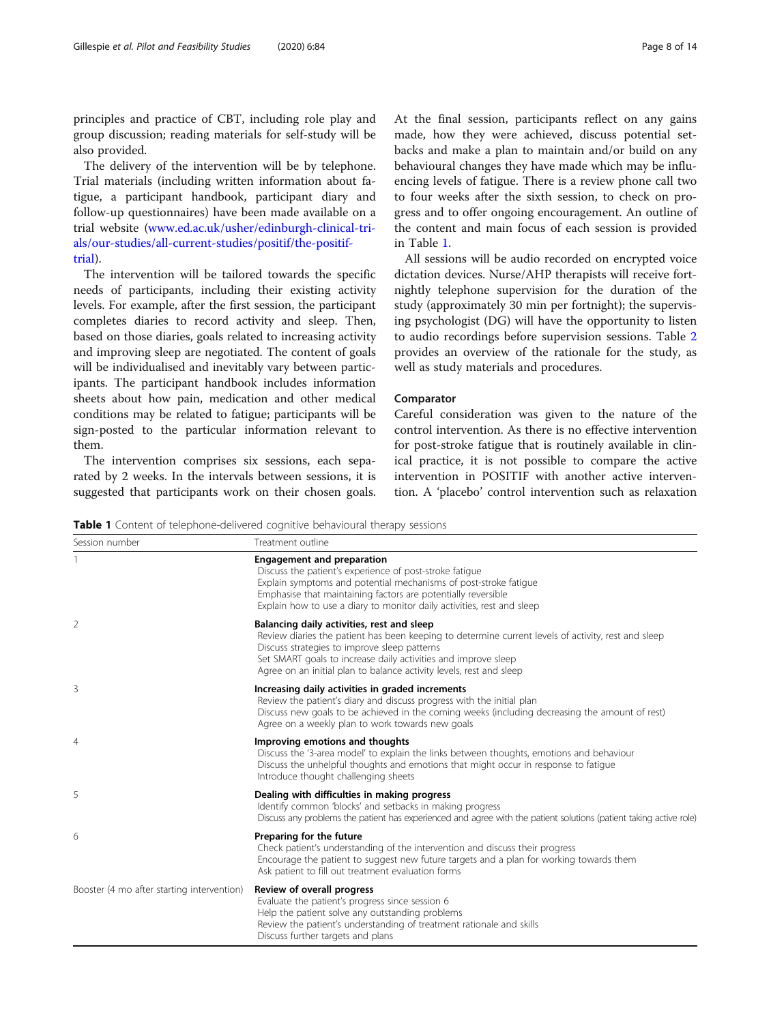<span id="page-7-0"></span>principles and practice of CBT, including role play and group discussion; reading materials for self-study will be also provided.

The delivery of the intervention will be by telephone. Trial materials (including written information about fatigue, a participant handbook, participant diary and follow-up questionnaires) have been made available on a trial website ([www.ed.ac.uk/usher/edinburgh-clinical-tri](http://www.ed.ac.uk/usher/edinburgh-clinical-trials/our-studies/all-current-studies/positif/the-positif-trial)[als/our-studies/all-current-studies/positif/the-positif](http://www.ed.ac.uk/usher/edinburgh-clinical-trials/our-studies/all-current-studies/positif/the-positif-trial)[trial](http://www.ed.ac.uk/usher/edinburgh-clinical-trials/our-studies/all-current-studies/positif/the-positif-trial)).

The intervention will be tailored towards the specific needs of participants, including their existing activity levels. For example, after the first session, the participant completes diaries to record activity and sleep. Then, based on those diaries, goals related to increasing activity and improving sleep are negotiated. The content of goals will be individualised and inevitably vary between participants. The participant handbook includes information sheets about how pain, medication and other medical conditions may be related to fatigue; participants will be sign-posted to the particular information relevant to them.

The intervention comprises six sessions, each separated by 2 weeks. In the intervals between sessions, it is suggested that participants work on their chosen goals. At the final session, participants reflect on any gains made, how they were achieved, discuss potential setbacks and make a plan to maintain and/or build on any behavioural changes they have made which may be influencing levels of fatigue. There is a review phone call two to four weeks after the sixth session, to check on progress and to offer ongoing encouragement. An outline of the content and main focus of each session is provided in Table 1.

All sessions will be audio recorded on encrypted voice dictation devices. Nurse/AHP therapists will receive fortnightly telephone supervision for the duration of the study (approximately 30 min per fortnight); the supervising psychologist (DG) will have the opportunity to listen to audio recordings before supervision sessions. Table [2](#page-8-0) provides an overview of the rationale for the study, as well as study materials and procedures.

#### Comparator

Careful consideration was given to the nature of the control intervention. As there is no effective intervention for post-stroke fatigue that is routinely available in clinical practice, it is not possible to compare the active intervention in POSITIF with another active intervention. A 'placebo' control intervention such as relaxation

Table 1 Content of telephone-delivered cognitive behavioural therapy sessions

| Session number                             | Treatment outline                                                                                                                                                                                                                                                                                                                          |  |  |  |  |  |  |  |
|--------------------------------------------|--------------------------------------------------------------------------------------------------------------------------------------------------------------------------------------------------------------------------------------------------------------------------------------------------------------------------------------------|--|--|--|--|--|--|--|
|                                            | <b>Engagement and preparation</b><br>Discuss the patient's experience of post-stroke fatique<br>Explain symptoms and potential mechanisms of post-stroke fatique<br>Emphasise that maintaining factors are potentially reversible<br>Explain how to use a diary to monitor daily activities, rest and sleep                                |  |  |  |  |  |  |  |
| 2                                          | Balancing daily activities, rest and sleep<br>Review diaries the patient has been keeping to determine current levels of activity, rest and sleep<br>Discuss strategies to improve sleep patterns<br>Set SMART goals to increase daily activities and improve sleep<br>Agree on an initial plan to balance activity levels, rest and sleep |  |  |  |  |  |  |  |
| 3                                          | Increasing daily activities in graded increments<br>Review the patient's diary and discuss progress with the initial plan<br>Discuss new goals to be achieved in the coming weeks (including decreasing the amount of rest)<br>Agree on a weekly plan to work towards new goals                                                            |  |  |  |  |  |  |  |
| 4                                          | Improving emotions and thoughts<br>Discuss the '3-area model' to explain the links between thoughts, emotions and behaviour<br>Discuss the unhelpful thoughts and emotions that might occur in response to fatigue<br>Introduce thought challenging sheets                                                                                 |  |  |  |  |  |  |  |
| 5                                          | Dealing with difficulties in making progress<br>Identify common 'blocks' and setbacks in making progress<br>Discuss any problems the patient has experienced and agree with the patient solutions (patient taking active role)                                                                                                             |  |  |  |  |  |  |  |
| 6                                          | Preparing for the future<br>Check patient's understanding of the intervention and discuss their progress<br>Encourage the patient to suggest new future targets and a plan for working towards them<br>Ask patient to fill out treatment evaluation forms                                                                                  |  |  |  |  |  |  |  |
| Booster (4 mo after starting intervention) | Review of overall progress<br>Evaluate the patient's progress since session 6<br>Help the patient solve any outstanding problems<br>Review the patient's understanding of treatment rationale and skills<br>Discuss further targets and plans                                                                                              |  |  |  |  |  |  |  |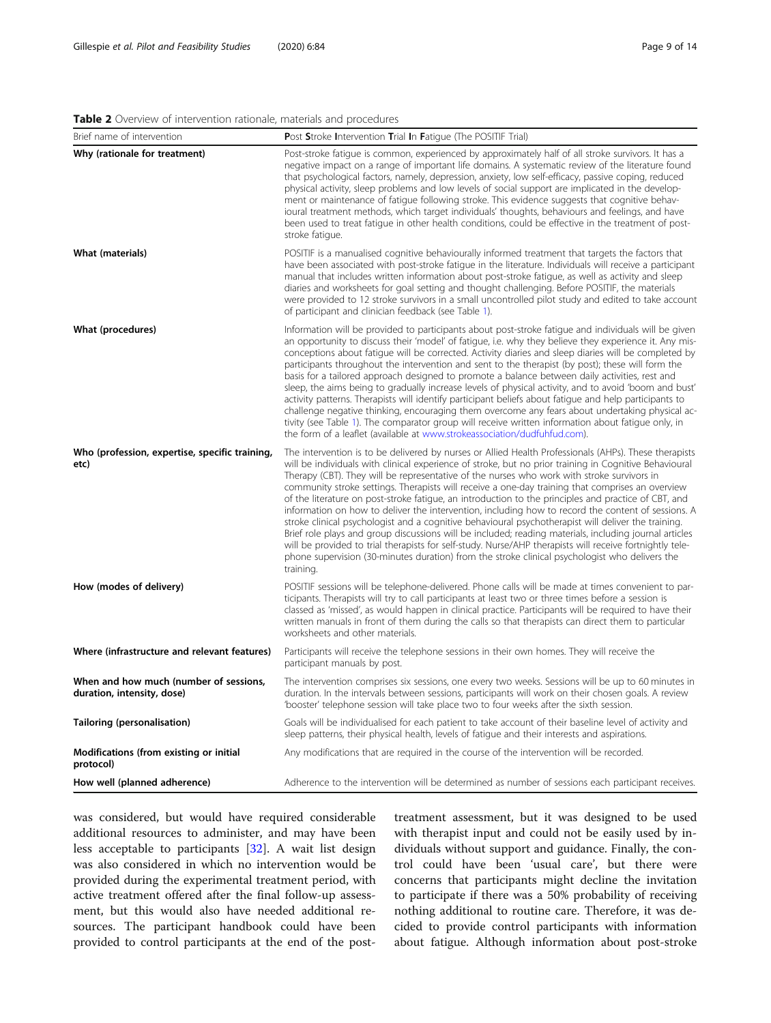#### <span id="page-8-0"></span>Table 2 Overview of intervention rationale, materials and procedures

| Brief name of intervention                                           | <b>Post Stroke Intervention Trial In Fatique (The POSITIF Trial)</b>                                                                                                                                                                                                                                                                                                                                                                                                                                                                                                                                                                                                                                                                                                                                                                                                                                                                                                                                                                                                        |  |  |  |  |  |  |  |
|----------------------------------------------------------------------|-----------------------------------------------------------------------------------------------------------------------------------------------------------------------------------------------------------------------------------------------------------------------------------------------------------------------------------------------------------------------------------------------------------------------------------------------------------------------------------------------------------------------------------------------------------------------------------------------------------------------------------------------------------------------------------------------------------------------------------------------------------------------------------------------------------------------------------------------------------------------------------------------------------------------------------------------------------------------------------------------------------------------------------------------------------------------------|--|--|--|--|--|--|--|
| Why (rationale for treatment)                                        | Post-stroke fatigue is common, experienced by approximately half of all stroke survivors. It has a<br>negative impact on a range of important life domains. A systematic review of the literature found<br>that psychological factors, namely, depression, anxiety, low self-efficacy, passive coping, reduced<br>physical activity, sleep problems and low levels of social support are implicated in the develop-<br>ment or maintenance of fatigue following stroke. This evidence suggests that cognitive behav-<br>joural treatment methods, which target individuals' thoughts, behaviours and feelings, and have<br>been used to treat fatigue in other health conditions, could be effective in the treatment of post-<br>stroke fatigue.                                                                                                                                                                                                                                                                                                                           |  |  |  |  |  |  |  |
| <b>What (materials)</b>                                              | POSITIF is a manualised cognitive behaviourally informed treatment that targets the factors that<br>have been associated with post-stroke fatique in the literature. Individuals will receive a participant<br>manual that includes written information about post-stroke fatigue, as well as activity and sleep<br>diaries and worksheets for goal setting and thought challenging. Before POSITIF, the materials<br>were provided to 12 stroke survivors in a small uncontrolled pilot study and edited to take account<br>of participant and clinician feedback (see Table 1).                                                                                                                                                                                                                                                                                                                                                                                                                                                                                           |  |  |  |  |  |  |  |
| What (procedures)                                                    | Information will be provided to participants about post-stroke fatigue and individuals will be given<br>an opportunity to discuss their 'model' of fatigue, i.e. why they believe they experience it. Any mis-<br>conceptions about fatique will be corrected. Activity diaries and sleep diaries will be completed by<br>participants throughout the intervention and sent to the therapist (by post); these will form the<br>basis for a tailored approach designed to promote a balance between daily activities, rest and<br>sleep, the aims being to gradually increase levels of physical activity, and to avoid 'boom and bust'<br>activity patterns. Therapists will identify participant beliefs about fatique and help participants to<br>challenge negative thinking, encouraging them overcome any fears about undertaking physical ac-<br>tivity (see Table 1). The comparator group will receive written information about fatigue only, in<br>the form of a leaflet (available at www.strokeassociation/dudfuhfud.com).                                      |  |  |  |  |  |  |  |
| Who (profession, expertise, specific training,<br>etc)               | The intervention is to be delivered by nurses or Allied Health Professionals (AHPs). These therapists<br>will be individuals with clinical experience of stroke, but no prior training in Cognitive Behavioural<br>Therapy (CBT). They will be representative of the nurses who work with stroke survivors in<br>community stroke settings. Therapists will receive a one-day training that comprises an overview<br>of the literature on post-stroke fatigue, an introduction to the principles and practice of CBT, and<br>information on how to deliver the intervention, including how to record the content of sessions. A<br>stroke clinical psychologist and a cognitive behavioural psychotherapist will deliver the training.<br>Brief role plays and group discussions will be included; reading materials, including journal articles<br>will be provided to trial therapists for self-study. Nurse/AHP therapists will receive fortnightly tele-<br>phone supervision (30-minutes duration) from the stroke clinical psychologist who delivers the<br>training. |  |  |  |  |  |  |  |
| How (modes of delivery)                                              | POSITIF sessions will be telephone-delivered. Phone calls will be made at times convenient to par-<br>ticipants. Therapists will try to call participants at least two or three times before a session is<br>classed as 'missed', as would happen in clinical practice. Participants will be required to have their<br>written manuals in front of them during the calls so that therapists can direct them to particular<br>worksheets and other materials.                                                                                                                                                                                                                                                                                                                                                                                                                                                                                                                                                                                                                |  |  |  |  |  |  |  |
| Where (infrastructure and relevant features)                         | Participants will receive the telephone sessions in their own homes. They will receive the<br>participant manuals by post.                                                                                                                                                                                                                                                                                                                                                                                                                                                                                                                                                                                                                                                                                                                                                                                                                                                                                                                                                  |  |  |  |  |  |  |  |
| When and how much (number of sessions,<br>duration, intensity, dose) | The intervention comprises six sessions, one every two weeks. Sessions will be up to 60 minutes in<br>duration. In the intervals between sessions, participants will work on their chosen goals. A review<br>'booster' telephone session will take place two to four weeks after the sixth session.                                                                                                                                                                                                                                                                                                                                                                                                                                                                                                                                                                                                                                                                                                                                                                         |  |  |  |  |  |  |  |
| Tailoring (personalisation)                                          | Goals will be individualised for each patient to take account of their baseline level of activity and<br>sleep patterns, their physical health, levels of fatigue and their interests and aspirations.                                                                                                                                                                                                                                                                                                                                                                                                                                                                                                                                                                                                                                                                                                                                                                                                                                                                      |  |  |  |  |  |  |  |
| Modifications (from existing or initial<br>protocol)                 | Any modifications that are required in the course of the intervention will be recorded.                                                                                                                                                                                                                                                                                                                                                                                                                                                                                                                                                                                                                                                                                                                                                                                                                                                                                                                                                                                     |  |  |  |  |  |  |  |
| How well (planned adherence)                                         | Adherence to the intervention will be determined as number of sessions each participant receives.                                                                                                                                                                                                                                                                                                                                                                                                                                                                                                                                                                                                                                                                                                                                                                                                                                                                                                                                                                           |  |  |  |  |  |  |  |

was considered, but would have required considerable additional resources to administer, and may have been less acceptable to participants [\[32](#page-13-0)]. A wait list design was also considered in which no intervention would be provided during the experimental treatment period, with active treatment offered after the final follow-up assessment, but this would also have needed additional resources. The participant handbook could have been provided to control participants at the end of the post-

treatment assessment, but it was designed to be used with therapist input and could not be easily used by individuals without support and guidance. Finally, the control could have been 'usual care', but there were concerns that participants might decline the invitation to participate if there was a 50% probability of receiving nothing additional to routine care. Therefore, it was decided to provide control participants with information about fatigue. Although information about post-stroke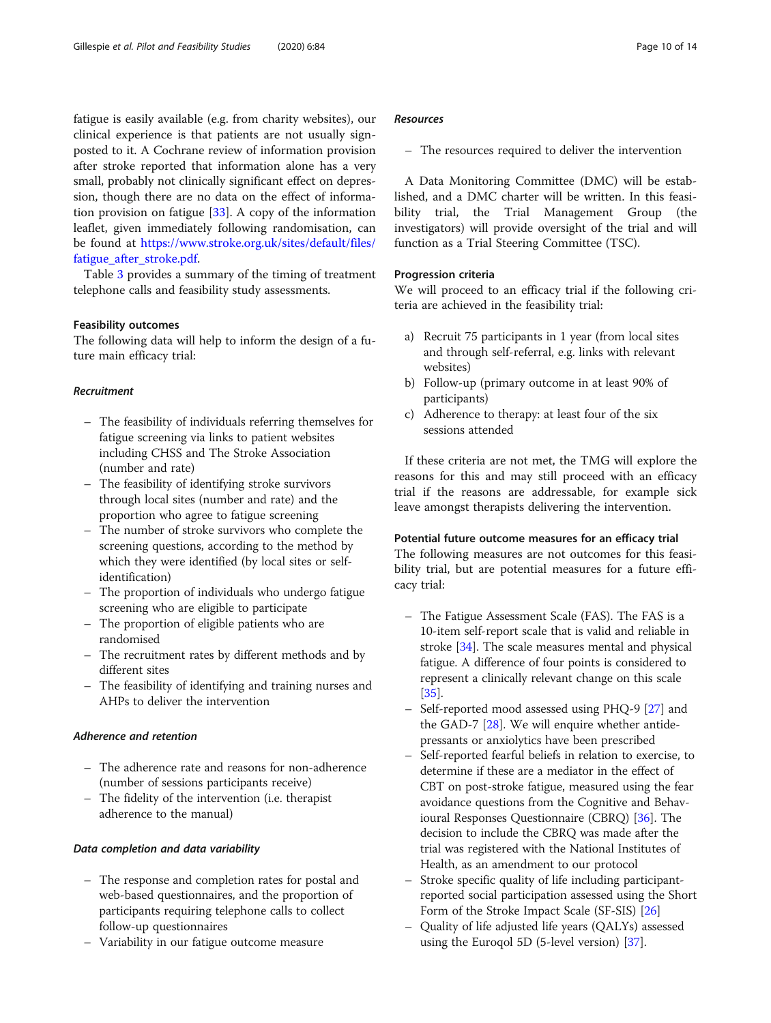fatigue is easily available (e.g. from charity websites), our clinical experience is that patients are not usually signposted to it. A Cochrane review of information provision after stroke reported that information alone has a very small, probably not clinically significant effect on depression, though there are no data on the effect of information provision on fatigue [\[33](#page-13-0)]. A copy of the information leaflet, given immediately following randomisation, can be found at [https://www.stroke.org.uk/sites/default/files/](https://www.stroke.org.uk/sites/default/files/fatigue_after_stroke.pdf) [fatigue\\_after\\_stroke.pdf.](https://www.stroke.org.uk/sites/default/files/fatigue_after_stroke.pdf)

Table [3](#page-10-0) provides a summary of the timing of treatment telephone calls and feasibility study assessments.

## Feasibility outcomes

The following data will help to inform the design of a future main efficacy trial:

## Recruitment

- The feasibility of individuals referring themselves for fatigue screening via links to patient websites including CHSS and The Stroke Association (number and rate)
- The feasibility of identifying stroke survivors through local sites (number and rate) and the proportion who agree to fatigue screening
- The number of stroke survivors who complete the screening questions, according to the method by which they were identified (by local sites or selfidentification)
- The proportion of individuals who undergo fatigue screening who are eligible to participate
- The proportion of eligible patients who are randomised
- The recruitment rates by different methods and by different sites
- The feasibility of identifying and training nurses and AHPs to deliver the intervention

## Adherence and retention

- The adherence rate and reasons for non-adherence (number of sessions participants receive)
- The fidelity of the intervention (i.e. therapist adherence to the manual)

#### Data completion and data variability

- The response and completion rates for postal and web-based questionnaires, and the proportion of participants requiring telephone calls to collect follow-up questionnaires
- Variability in our fatigue outcome measure

## Resources

– The resources required to deliver the intervention

A Data Monitoring Committee (DMC) will be established, and a DMC charter will be written. In this feasibility trial, the Trial Management Group (the investigators) will provide oversight of the trial and will function as a Trial Steering Committee (TSC).

#### Progression criteria

We will proceed to an efficacy trial if the following criteria are achieved in the feasibility trial:

- a) Recruit 75 participants in 1 year (from local sites and through self-referral, e.g. links with relevant websites)
- b) Follow-up (primary outcome in at least 90% of participants)
- c) Adherence to therapy: at least four of the six sessions attended

If these criteria are not met, the TMG will explore the reasons for this and may still proceed with an efficacy trial if the reasons are addressable, for example sick leave amongst therapists delivering the intervention.

#### Potential future outcome measures for an efficacy trial

The following measures are not outcomes for this feasibility trial, but are potential measures for a future efficacy trial:

- The Fatigue Assessment Scale (FAS). The FAS is a 10-item self-report scale that is valid and reliable in stroke [\[34\]](#page-13-0). The scale measures mental and physical fatigue. A difference of four points is considered to represent a clinically relevant change on this scale [[35](#page-13-0)].
- Self-reported mood assessed using PHQ-9 [[27](#page-13-0)] and the GAD-7 [\[28\]](#page-13-0). We will enquire whether antidepressants or anxiolytics have been prescribed
- Self-reported fearful beliefs in relation to exercise, to determine if these are a mediator in the effect of CBT on post-stroke fatigue, measured using the fear avoidance questions from the Cognitive and Behavioural Responses Questionnaire (CBRQ) [[36](#page-13-0)]. The decision to include the CBRQ was made after the trial was registered with the National Institutes of Health, as an amendment to our protocol
- Stroke specific quality of life including participantreported social participation assessed using the Short Form of the Stroke Impact Scale (SF-SIS) [[26\]](#page-13-0)
- Quality of life adjusted life years (QALYs) assessed using the Euroqol 5D (5-level version) [[37\]](#page-13-0).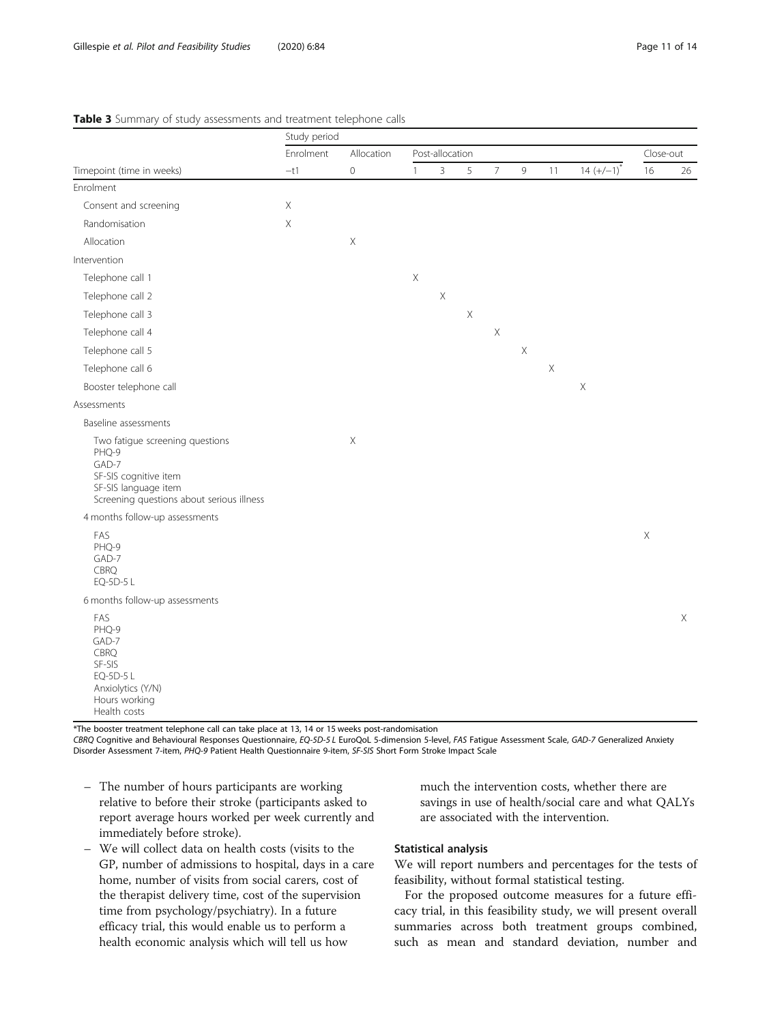|                                                                                                                                                 | Study period       |                                   |                           |                |             |             |             |             |               |             |             |
|-------------------------------------------------------------------------------------------------------------------------------------------------|--------------------|-----------------------------------|---------------------------|----------------|-------------|-------------|-------------|-------------|---------------|-------------|-------------|
|                                                                                                                                                 | Enrolment<br>$-t1$ | Allocation<br>$\mathsf{O}\xspace$ | Post-allocation           |                |             |             |             |             |               | Close-out   |             |
| Timepoint (time in weeks)                                                                                                                       |                    |                                   | $\mathbf{1}$              | $\overline{3}$ | 5           | $\bar{7}$   | $\mathsf g$ | 11          | $14 (+/-1)^7$ | 16          | 26          |
| Enrolment                                                                                                                                       |                    |                                   |                           |                |             |             |             |             |               |             |             |
| Consent and screening                                                                                                                           | Χ                  |                                   |                           |                |             |             |             |             |               |             |             |
| Randomisation                                                                                                                                   | $\mathsf X$        |                                   |                           |                |             |             |             |             |               |             |             |
| Allocation                                                                                                                                      |                    | $\mathsf X$                       |                           |                |             |             |             |             |               |             |             |
| Intervention                                                                                                                                    |                    |                                   |                           |                |             |             |             |             |               |             |             |
| Telephone call 1                                                                                                                                |                    |                                   | $\boldsymbol{\mathsf{X}}$ |                |             |             |             |             |               |             |             |
| Telephone call 2                                                                                                                                |                    |                                   |                           | $\mathsf X$    |             |             |             |             |               |             |             |
| Telephone call 3                                                                                                                                |                    |                                   |                           |                | $\mathsf X$ |             |             |             |               |             |             |
| Telephone call 4                                                                                                                                |                    |                                   |                           |                |             | $\mathsf X$ |             |             |               |             |             |
| Telephone call 5                                                                                                                                |                    |                                   |                           |                |             |             | $\mathsf X$ |             |               |             |             |
| Telephone call 6                                                                                                                                |                    |                                   |                           |                |             |             |             | $\mathsf X$ |               |             |             |
| Booster telephone call                                                                                                                          |                    |                                   |                           |                |             |             |             |             | $\mathsf X$   |             |             |
| Assessments                                                                                                                                     |                    |                                   |                           |                |             |             |             |             |               |             |             |
| Baseline assessments                                                                                                                            |                    |                                   |                           |                |             |             |             |             |               |             |             |
| Two fatigue screening questions<br>PHQ-9<br>GAD-7<br>SF-SIS cognitive item<br>SF-SIS language item<br>Screening questions about serious illness |                    | $\boldsymbol{\mathsf{X}}$         |                           |                |             |             |             |             |               |             |             |
| 4 months follow-up assessments                                                                                                                  |                    |                                   |                           |                |             |             |             |             |               |             |             |
| FAS<br>PHQ-9<br>GAD-7<br>CBRQ<br>EQ-5D-5 L                                                                                                      |                    |                                   |                           |                |             |             |             |             |               | $\mathsf X$ |             |
| 6 months follow-up assessments                                                                                                                  |                    |                                   |                           |                |             |             |             |             |               |             |             |
| FAS<br>PHQ-9<br>GAD-7<br>CBRQ<br>SF-SIS<br>EQ-5D-5 L<br>Anxiolytics (Y/N)<br>Hours working<br>Health costs                                      |                    |                                   |                           |                |             |             |             |             |               |             | $\mathsf X$ |

#### <span id="page-10-0"></span>Table 3 Summary of study assessments and treatment telephone calls

\*The booster treatment telephone call can take place at 13, 14 or 15 weeks post-randomisation

CBRQ Cognitive and Behavioural Responses Questionnaire, EQ-5D-5 L EuroQoL 5-dimension 5-level, FAS Fatigue Assessment Scale, GAD-7 Generalized Anxiety Disorder Assessment 7-item, PHQ-9 Patient Health Questionnaire 9-item, SF-SIS Short Form Stroke Impact Scale

- The number of hours participants are working relative to before their stroke (participants asked to report average hours worked per week currently and immediately before stroke).
- We will collect data on health costs (visits to the GP, number of admissions to hospital, days in a care home, number of visits from social carers, cost of the therapist delivery time, cost of the supervision time from psychology/psychiatry). In a future efficacy trial, this would enable us to perform a health economic analysis which will tell us how

much the intervention costs, whether there are savings in use of health/social care and what QALYs are associated with the intervention.

## Statistical analysis

We will report numbers and percentages for the tests of feasibility, without formal statistical testing.

For the proposed outcome measures for a future efficacy trial, in this feasibility study, we will present overall summaries across both treatment groups combined, such as mean and standard deviation, number and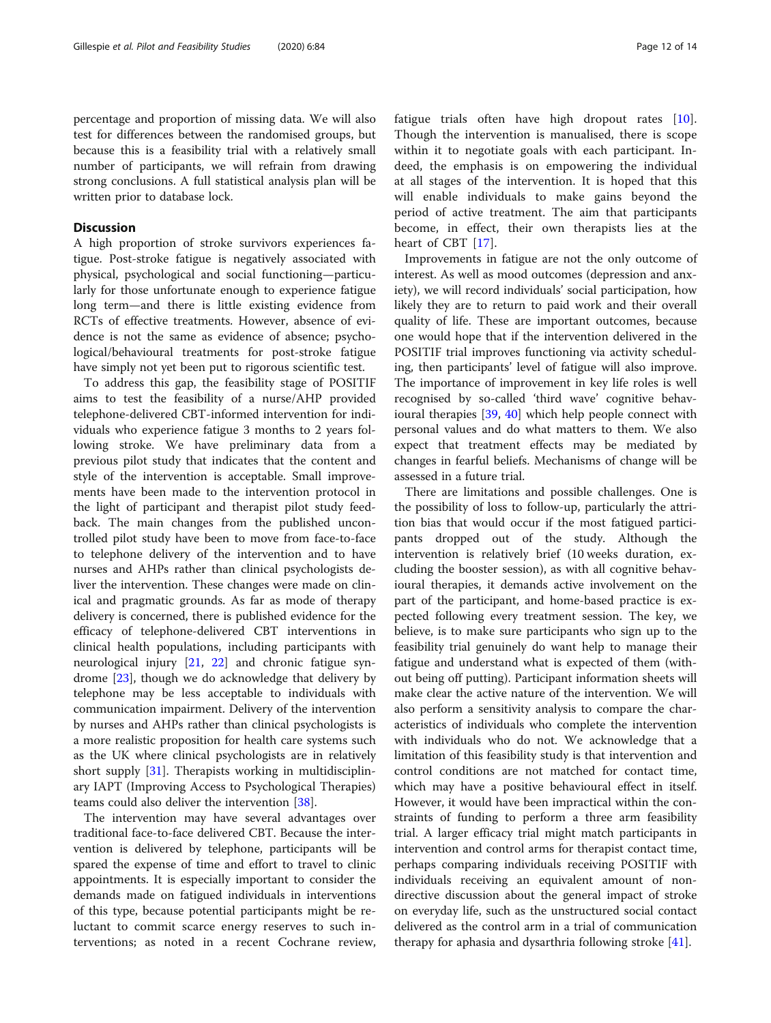#### **Discussion**

A high proportion of stroke survivors experiences fatigue. Post-stroke fatigue is negatively associated with physical, psychological and social functioning—particularly for those unfortunate enough to experience fatigue long term—and there is little existing evidence from RCTs of effective treatments. However, absence of evidence is not the same as evidence of absence; psychological/behavioural treatments for post-stroke fatigue have simply not yet been put to rigorous scientific test.

To address this gap, the feasibility stage of POSITIF aims to test the feasibility of a nurse/AHP provided telephone-delivered CBT-informed intervention for individuals who experience fatigue 3 months to 2 years following stroke. We have preliminary data from a previous pilot study that indicates that the content and style of the intervention is acceptable. Small improvements have been made to the intervention protocol in the light of participant and therapist pilot study feedback. The main changes from the published uncontrolled pilot study have been to move from face-to-face to telephone delivery of the intervention and to have nurses and AHPs rather than clinical psychologists deliver the intervention. These changes were made on clinical and pragmatic grounds. As far as mode of therapy delivery is concerned, there is published evidence for the efficacy of telephone-delivered CBT interventions in clinical health populations, including participants with neurological injury [[21,](#page-12-0) [22](#page-13-0)] and chronic fatigue syndrome [\[23\]](#page-13-0), though we do acknowledge that delivery by telephone may be less acceptable to individuals with communication impairment. Delivery of the intervention by nurses and AHPs rather than clinical psychologists is a more realistic proposition for health care systems such as the UK where clinical psychologists are in relatively short supply [[31](#page-13-0)]. Therapists working in multidisciplinary IAPT (Improving Access to Psychological Therapies) teams could also deliver the intervention [[38\]](#page-13-0).

The intervention may have several advantages over traditional face-to-face delivered CBT. Because the intervention is delivered by telephone, participants will be spared the expense of time and effort to travel to clinic appointments. It is especially important to consider the demands made on fatigued individuals in interventions of this type, because potential participants might be reluctant to commit scarce energy reserves to such interventions; as noted in a recent Cochrane review, fatigue trials often have high dropout rates [\[10](#page-12-0)]. Though the intervention is manualised, there is scope within it to negotiate goals with each participant. Indeed, the emphasis is on empowering the individual at all stages of the intervention. It is hoped that this will enable individuals to make gains beyond the period of active treatment. The aim that participants become, in effect, their own therapists lies at the heart of CBT [[17\]](#page-12-0).

Improvements in fatigue are not the only outcome of interest. As well as mood outcomes (depression and anxiety), we will record individuals' social participation, how likely they are to return to paid work and their overall quality of life. These are important outcomes, because one would hope that if the intervention delivered in the POSITIF trial improves functioning via activity scheduling, then participants' level of fatigue will also improve. The importance of improvement in key life roles is well recognised by so-called 'third wave' cognitive behavioural therapies [[39,](#page-13-0) [40](#page-13-0)] which help people connect with personal values and do what matters to them. We also expect that treatment effects may be mediated by changes in fearful beliefs. Mechanisms of change will be assessed in a future trial.

There are limitations and possible challenges. One is the possibility of loss to follow-up, particularly the attrition bias that would occur if the most fatigued participants dropped out of the study. Although the intervention is relatively brief (10 weeks duration, excluding the booster session), as with all cognitive behavioural therapies, it demands active involvement on the part of the participant, and home-based practice is expected following every treatment session. The key, we believe, is to make sure participants who sign up to the feasibility trial genuinely do want help to manage their fatigue and understand what is expected of them (without being off putting). Participant information sheets will make clear the active nature of the intervention. We will also perform a sensitivity analysis to compare the characteristics of individuals who complete the intervention with individuals who do not. We acknowledge that a limitation of this feasibility study is that intervention and control conditions are not matched for contact time, which may have a positive behavioural effect in itself. However, it would have been impractical within the constraints of funding to perform a three arm feasibility trial. A larger efficacy trial might match participants in intervention and control arms for therapist contact time, perhaps comparing individuals receiving POSITIF with individuals receiving an equivalent amount of nondirective discussion about the general impact of stroke on everyday life, such as the unstructured social contact delivered as the control arm in a trial of communication therapy for aphasia and dysarthria following stroke [\[41](#page-13-0)].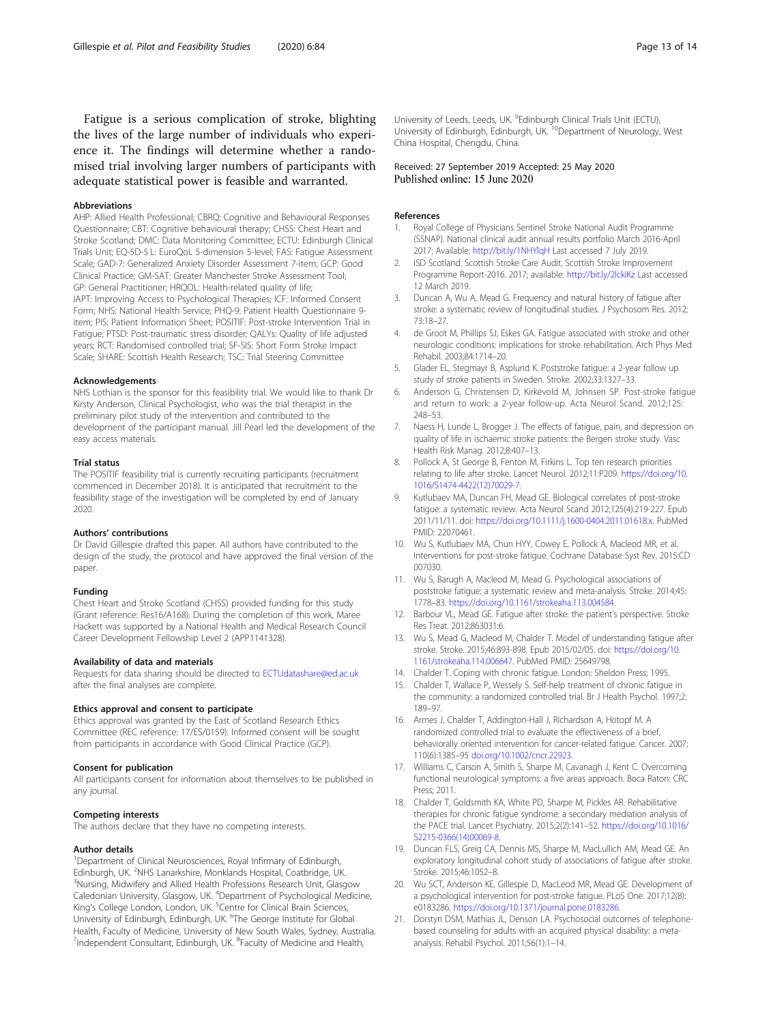<span id="page-12-0"></span>Fatigue is a serious complication of stroke, blighting the lives of the large number of individuals who experience it. The findings will determine whether a randomised trial involving larger numbers of participants with adequate statistical power is feasible and warranted.

#### Abbreviations

AHP: Allied Health Professional; CBRQ: Cognitive and Behavioural Responses Questionnaire; CBT: Cognitive behavioural therapy; CHSS: Chest Heart and Stroke Scotland; DMC: Data Monitoring Committee; ECTU: Edinburgh Clinical Trials Unit; EQ-5D-5 L: EuroQoL 5-dimension 5-level; FAS: Fatigue Assessment Scale; GAD-7: Generalized Anxiety Disorder Assessment 7-item; GCP: Good Clinical Practice; GM-SAT: Greater Manchester Stroke Assessment Tool; GP: General Practitioner; HRQOL: Health-related quality of life; IAPT: Improving Access to Psychological Therapies; ICF: Informed Consent Form; NHS: National Health Service; PHQ-9: Patient Health Questionnaire 9 item; PIS: Patient Information Sheet; POSITIF: Post-stroke Intervention Trial in Fatigue; PTSD: Post-traumatic stress disorder; QALYs: Quality of life adjusted years; RCT: Randomised controlled trial; SF-SIS: Short Form Stroke Impact Scale; SHARE: Scottish Health Research; TSC: Trial Steering Committee

#### Acknowledgements

NHS Lothian is the sponsor for this feasibility trial. We would like to thank Dr Kirsty Anderson, Clinical Psychologist, who was the trial therapist in the preliminary pilot study of the intervention and contributed to the development of the participant manual. Jill Pearl led the development of the easy access materials.

#### Trial status

The POSITIF feasibility trial is currently recruiting participants (recruitment commenced in December 2018). It is anticipated that recruitment to the feasibility stage of the investigation will be completed by end of January 2020.

#### Authors' contributions

Dr David Gillespie drafted this paper. All authors have contributed to the design of the study, the protocol and have approved the final version of the paper.

#### Funding

Chest Heart and Stroke Scotland (CHSS) provided funding for this study (Grant reference: Res16/A168). During the completion of this work, Maree Hackett was supported by a National Health and Medical Research Council Career Development Fellowship Level 2 (APP1141328).

#### Availability of data and materials

Requests for data sharing should be directed to [ECTUdatashare@ed.ac.uk](mailto:ECTUdatashare@ed.ac.uk) after the final analyses are complete.

#### Ethics approval and consent to participate

Ethics approval was granted by the East of Scotland Research Ethics Committee (REC reference: 17/ES/0159). Informed consent will be sought from participants in accordance with Good Clinical Practice (GCP).

#### Consent for publication

All participants consent for information about themselves to be published in any journal.

#### Competing interests

The authors declare that they have no competing interests.

#### Author details

<sup>1</sup>Department of Clinical Neurosciences, Royal Infirmary of Edinburgh, Edinburgh, UK. <sup>2</sup>NHS Lanarkshire, Monklands Hospital, Coatbridge, UK.<br><sup>3</sup>Nursing, Midwifon, and Allied Hoalth Professions Pesoarch Unit, Glass Nursing, Midwifery and Allied Health Professions Research Unit, Glasgow Caledonian University, Glasgow, UK. <sup>4</sup>Department of Psychological Medicine, King's College London, London, UK. <sup>5</sup>Centre for Clinical Brain Sciences, University of Edinburgh, Edinburgh, UK. <sup>6</sup>The George Institute for Global Health, Faculty of Medicine, University of New South Wales, Sydney, Australia. <sup>7</sup>Independent Consultant, Edinburgh, UK. <sup>8</sup>Faculty of Medicine and Health,

University of Leeds, Leeds, UK. <sup>9</sup>Edinburgh Clinical Trials Unit (ECTU) University of Edinburgh, Edinburgh, UK.<sup>10</sup>Department of Neurology, West China Hospital, Chengdu, China.

# Received: 27 September 2019 Accepted: 25 May 2020<br>Published online: 15 June 2020

#### References

- 1. Royal College of Physicians Sentinel Stroke National Audit Programme (SSNAP). National clinical audit annual results portfolio March 2016-April 2017; Available: <http://bit.ly/1NHYlqH> Last accessed 7 July 2019.
- 2. ISD Scotland. Scottish Stroke Care Audit, Scottish Stroke Improvement Programme Report-2016. 2017; available: <http://bit.ly/2lckiKz> Last accessed 12 March 2019.
- 3. Duncan A, Wu A, Mead G. Frequency and natural history of fatigue after stroke: a systematic review of longitudinal studies. J Psychosom Res. 2012; 73:18–27.
- de Groot M, Phillips SJ, Eskes GA. Fatigue associated with stroke and other neurologic conditions: implications for stroke rehabilitation. Arch Phys Med Rehabil. 2003;84:1714–20.
- 5. Glader EL, Stegmayr B, Asplund K. Poststroke fatigue: a 2-year follow up study of stroke patients in Sweden. Stroke. 2002;33:1327–33.
- 6. Anderson G, Christensen D, Kirkevold M, Johnsen SP. Post-stroke fatigue and return to work: a 2-year follow-up. Acta Neurol Scand. 2012;125: 248–53.
- 7. Naess H, Lunde L, Brogger J. The effects of fatigue, pain, and depression on quality of life in ischaemic stroke patients: the Bergen stroke study. Vasc Health Risk Manag. 2012;8:407–13.
- 8. Pollock A, St George B, Fenton M, Firkins L. Top ten research priorities relating to life after stroke. Lancet Neurol. 2012;11:P209. [https://doi.org/10.](https://doi.org/10.1016/S1474-4422(12)70029-7) [1016/S1474-4422\(12\)70029-7.](https://doi.org/10.1016/S1474-4422(12)70029-7)
- Kutlubaev MA, Duncan FH, Mead GE. Biological correlates of post-stroke fatigue: a systematic review. Acta Neurol Scand 2012;125(4):219-227. Epub 2011/11/11. doi: <https://doi.org/10.1111/j.1600-0404.2011.01618.x>. PubMed PMID: 22070461.
- 10. Wu S, Kutlubaev MA, Chun HYY, Cowey E, Pollock A, Macleod MR, et al. Interventions for post-stroke fatigue. Cochrane Database Syst Rev. 2015:CD 007030.
- 11. Wu S, Barugh A, Macleod M, Mead G. Psychological associations of poststroke fatigue: a systematic review and meta-analysis. Stroke. 2014;45: 1778–83. [https://doi.org/10.1161/strokeaha.113.004584.](https://doi.org/10.1161/strokeaha.113.004584)
- 12. Barbour VL, Mead GE. Fatigue after stroke: the patient's perspective. Stroke Res Treat. 2012;863031:6.
- 13. Wu S, Mead G, Macleod M, Chalder T. Model of understanding fatigue after stroke. Stroke. 2015;46:893-898. Epub 2015/02/05. doi: [https://doi.org/10.](https://doi.org/10.1161/strokeaha.114.006647) [1161/strokeaha.114.006647](https://doi.org/10.1161/strokeaha.114.006647). PubMed PMID: 25649798.
- 14. Chalder T. Coping with chronic fatigue. London: Sheldon Press; 1995.
- 15. Chalder T, Wallace P, Wessely S. Self-help treatment of chronic fatigue in the community: a randomized controlled trial. Br J Health Psychol. 1997;2: 189–97.
- 16. Armes J, Chalder T, Addington-Hall J, Richardson A, Hotopf M. A randomized controlled trial to evaluate the effectiveness of a brief, behaviorally oriented intervention for cancer-related fatigue. Cancer. 2007; 110(6):1385–95 [doi.org/10.1002/cncr.22923](http://dx.doi.org/10.1002/cncr.22923).
- 17. Williams C, Carson A, Smith S, Sharpe M, Cavanagh J, Kent C. Overcoming functional neurological symptoms: a five areas approach. Boca Raton: CRC Press; 2011.
- 18. Chalder T, Goldsmith KA, White PD, Sharpe M, Pickles AR. Rehabilitative therapies for chronic fatigue syndrome: a secondary mediation analysis of the PACE trial. Lancet Psychiatry. 2015;2(2):141–52. [https://doi.org/10.1016/](https://doi.org/10.1016/S2215-0366(14)00069-8) [S2215-0366\(14\)00069-8](https://doi.org/10.1016/S2215-0366(14)00069-8).
- 19. Duncan FLS, Greig CA, Dennis MS, Sharpe M, MacLullich AM, Mead GE. An exploratory longitudinal cohort study of associations of fatigue after stroke. Stroke. 2015;46:1052–8.
- 20. Wu SCT, Anderson KE, Gillespie D, MacLeod MR, Mead GE. Development of a psychological intervention for post-stroke fatigue. PLoS One. 2017;12(8): e0183286. <https://doi.org/10.1371/journal.pone.0183286>.
- 21. Dorstyn DSM, Mathias JL, Denson LA. Psychosocial outcomes of telephonebased counseling for adults with an acquired physical disability: a metaanalysis. Rehabil Psychol. 2011;56(1):1–14.